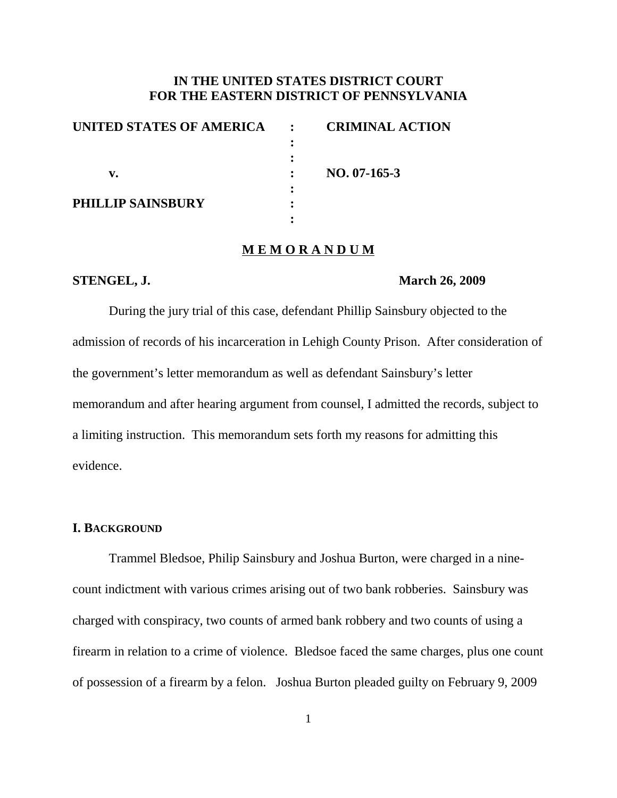# **IN THE UNITED STATES DISTRICT COURT FOR THE EASTERN DISTRICT OF PENNSYLVANIA**

| UNITED STATES OF AMERICA | $\mathbf{r}$ | <b>CRIMINAL ACTION</b> |
|--------------------------|--------------|------------------------|
|                          |              |                        |
|                          |              |                        |
| v.                       |              | $NO. 07-165-3$         |
|                          |              |                        |
| <b>PHILLIP SAINSBURY</b> |              |                        |
|                          |              |                        |

## **M E M O R A N D U M**

### **STENGEL, J. March 26, 2009**

During the jury trial of this case, defendant Phillip Sainsbury objected to the admission of records of his incarceration in Lehigh County Prison. After consideration of the government's letter memorandum as well as defendant Sainsbury's letter memorandum and after hearing argument from counsel, I admitted the records, subject to a limiting instruction. This memorandum sets forth my reasons for admitting this evidence.

## **I. BACKGROUND**

Trammel Bledsoe, Philip Sainsbury and Joshua Burton, were charged in a ninecount indictment with various crimes arising out of two bank robberies. Sainsbury was charged with conspiracy, two counts of armed bank robbery and two counts of using a firearm in relation to a crime of violence. Bledsoe faced the same charges, plus one count of possession of a firearm by a felon. Joshua Burton pleaded guilty on February 9, 2009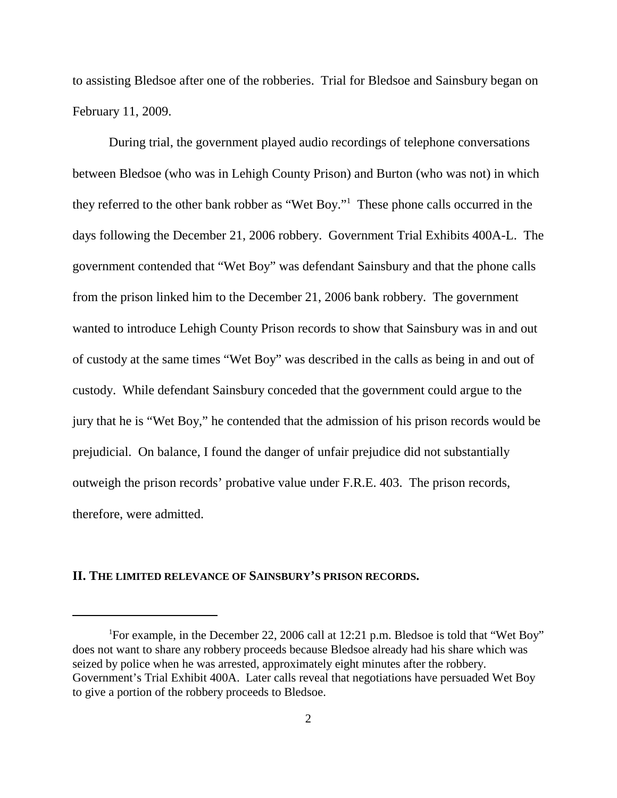to assisting Bledsoe after one of the robberies. Trial for Bledsoe and Sainsbury began on February 11, 2009.

During trial, the government played audio recordings of telephone conversations between Bledsoe (who was in Lehigh County Prison) and Burton (who was not) in which they referred to the other bank robber as "Wet Boy."1 These phone calls occurred in the days following the December 21, 2006 robbery. Government Trial Exhibits 400A-L. The government contended that "Wet Boy" was defendant Sainsbury and that the phone calls from the prison linked him to the December 21, 2006 bank robbery. The government wanted to introduce Lehigh County Prison records to show that Sainsbury was in and out of custody at the same times "Wet Boy" was described in the calls as being in and out of custody. While defendant Sainsbury conceded that the government could argue to the jury that he is "Wet Boy," he contended that the admission of his prison records would be prejudicial. On balance, I found the danger of unfair prejudice did not substantially outweigh the prison records' probative value under F.R.E. 403. The prison records, therefore, were admitted.

## **II. THE LIMITED RELEVANCE OF SAINSBURY'S PRISON RECORDS.**

<sup>&</sup>lt;sup>1</sup>For example, in the December 22, 2006 call at 12:21 p.m. Bledsoe is told that "Wet Boy" does not want to share any robbery proceeds because Bledsoe already had his share which was seized by police when he was arrested, approximately eight minutes after the robbery. Government's Trial Exhibit 400A. Later calls reveal that negotiations have persuaded Wet Boy to give a portion of the robbery proceeds to Bledsoe.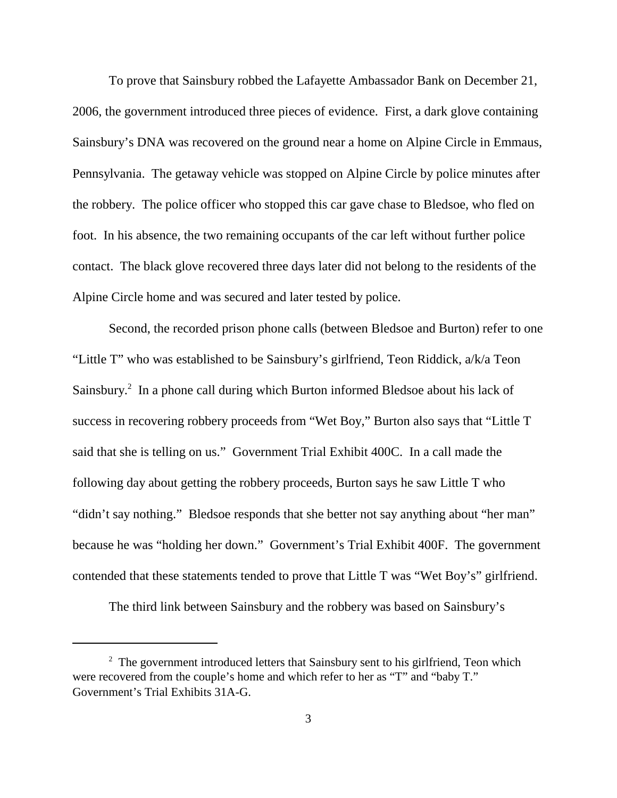To prove that Sainsbury robbed the Lafayette Ambassador Bank on December 21, 2006, the government introduced three pieces of evidence. First, a dark glove containing Sainsbury's DNA was recovered on the ground near a home on Alpine Circle in Emmaus, Pennsylvania. The getaway vehicle was stopped on Alpine Circle by police minutes after the robbery. The police officer who stopped this car gave chase to Bledsoe, who fled on foot. In his absence, the two remaining occupants of the car left without further police contact. The black glove recovered three days later did not belong to the residents of the Alpine Circle home and was secured and later tested by police.

Second, the recorded prison phone calls (between Bledsoe and Burton) refer to one "Little T" who was established to be Sainsbury's girlfriend, Teon Riddick, a/k/a Teon Sainsbury.<sup>2</sup> In a phone call during which Burton informed Bledsoe about his lack of success in recovering robbery proceeds from "Wet Boy," Burton also says that "Little T said that she is telling on us." Government Trial Exhibit 400C. In a call made the following day about getting the robbery proceeds, Burton says he saw Little T who "didn't say nothing." Bledsoe responds that she better not say anything about "her man" because he was "holding her down." Government's Trial Exhibit 400F. The government contended that these statements tended to prove that Little T was "Wet Boy's" girlfriend.

The third link between Sainsbury and the robbery was based on Sainsbury's

 $2\degree$  The government introduced letters that Sainsbury sent to his girlfriend, Teon which were recovered from the couple's home and which refer to her as "T" and "baby T." Government's Trial Exhibits 31A-G.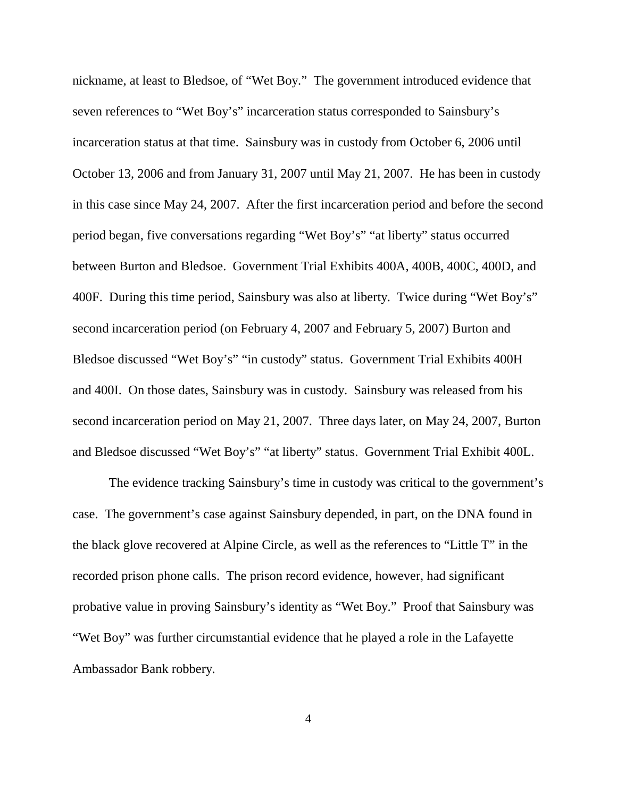nickname, at least to Bledsoe, of "Wet Boy." The government introduced evidence that seven references to "Wet Boy's" incarceration status corresponded to Sainsbury's incarceration status at that time. Sainsbury was in custody from October 6, 2006 until October 13, 2006 and from January 31, 2007 until May 21, 2007. He has been in custody in this case since May 24, 2007. After the first incarceration period and before the second period began, five conversations regarding "Wet Boy's" "at liberty" status occurred between Burton and Bledsoe. Government Trial Exhibits 400A, 400B, 400C, 400D, and 400F. During this time period, Sainsbury was also at liberty. Twice during "Wet Boy's" second incarceration period (on February 4, 2007 and February 5, 2007) Burton and Bledsoe discussed "Wet Boy's" "in custody" status. Government Trial Exhibits 400H and 400I. On those dates, Sainsbury was in custody. Sainsbury was released from his second incarceration period on May 21, 2007. Three days later, on May 24, 2007, Burton and Bledsoe discussed "Wet Boy's" "at liberty" status. Government Trial Exhibit 400L.

The evidence tracking Sainsbury's time in custody was critical to the government's case. The government's case against Sainsbury depended, in part, on the DNA found in the black glove recovered at Alpine Circle, as well as the references to "Little T" in the recorded prison phone calls. The prison record evidence, however, had significant probative value in proving Sainsbury's identity as "Wet Boy." Proof that Sainsbury was "Wet Boy" was further circumstantial evidence that he played a role in the Lafayette Ambassador Bank robbery.

4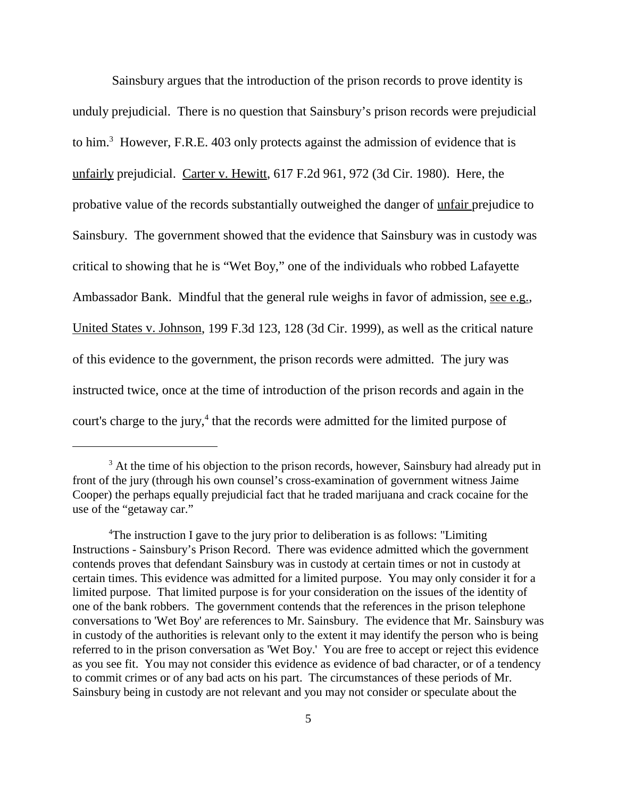Sainsbury argues that the introduction of the prison records to prove identity is unduly prejudicial. There is no question that Sainsbury's prison records were prejudicial to him.<sup>3</sup> However, F.R.E. 403 only protects against the admission of evidence that is unfairly prejudicial. Carter v. Hewitt, 617 F.2d 961, 972 (3d Cir. 1980). Here, the probative value of the records substantially outweighed the danger of unfair prejudice to Sainsbury. The government showed that the evidence that Sainsbury was in custody was critical to showing that he is "Wet Boy," one of the individuals who robbed Lafayette Ambassador Bank. Mindful that the general rule weighs in favor of admission, see e.g., United States v. Johnson, 199 F.3d 123, 128 (3d Cir. 1999), as well as the critical nature of this evidence to the government, the prison records were admitted. The jury was instructed twice, once at the time of introduction of the prison records and again in the court's charge to the jury, <sup>4</sup> that the records were admitted for the limited purpose of

 $3$  At the time of his objection to the prison records, however, Sainsbury had already put in front of the jury (through his own counsel's cross-examination of government witness Jaime Cooper) the perhaps equally prejudicial fact that he traded marijuana and crack cocaine for the use of the "getaway car."

<sup>&</sup>lt;sup>4</sup>The instruction I gave to the jury prior to deliberation is as follows: "Limiting Instructions - Sainsbury's Prison Record. There was evidence admitted which the government contends proves that defendant Sainsbury was in custody at certain times or not in custody at certain times. This evidence was admitted for a limited purpose. You may only consider it for a limited purpose. That limited purpose is for your consideration on the issues of the identity of one of the bank robbers. The government contends that the references in the prison telephone conversations to 'Wet Boy' are references to Mr. Sainsbury. The evidence that Mr. Sainsbury was in custody of the authorities is relevant only to the extent it may identify the person who is being referred to in the prison conversation as 'Wet Boy.' You are free to accept or reject this evidence as you see fit. You may not consider this evidence as evidence of bad character, or of a tendency to commit crimes or of any bad acts on his part. The circumstances of these periods of Mr. Sainsbury being in custody are not relevant and you may not consider or speculate about the